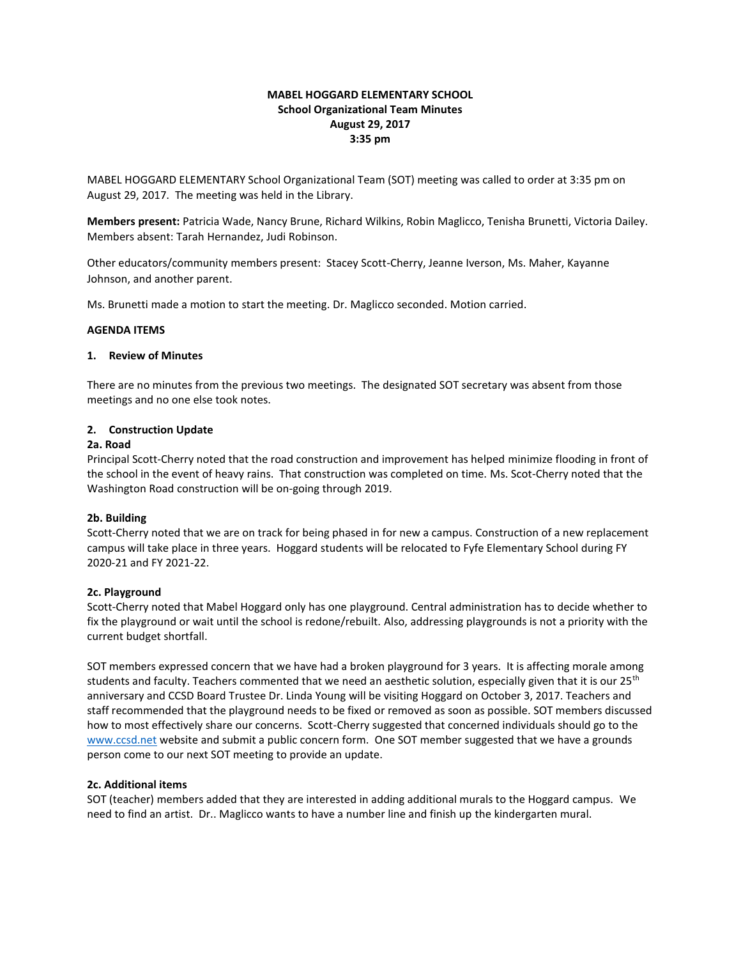# **MABEL HOGGARD ELEMENTARY SCHOOL School Organizational Team Minutes August 29, 2017 3:35 pm**

MABEL HOGGARD ELEMENTARY School Organizational Team (SOT) meeting was called to order at 3:35 pm on August 29, 2017. The meeting was held in the Library.

**Members present:** Patricia Wade, Nancy Brune, Richard Wilkins, Robin Maglicco, Tenisha Brunetti, Victoria Dailey. Members absent: Tarah Hernandez, Judi Robinson.

Other educators/community members present: Stacey Scott-Cherry, Jeanne Iverson, Ms. Maher, Kayanne Johnson, and another parent.

Ms. Brunetti made a motion to start the meeting. Dr. Maglicco seconded. Motion carried.

#### **AGENDA ITEMS**

#### **1. Review of Minutes**

There are no minutes from the previous two meetings. The designated SOT secretary was absent from those meetings and no one else took notes.

#### **2. Construction Update**

### **2a. Road**

Principal Scott-Cherry noted that the road construction and improvement has helped minimize flooding in front of the school in the event of heavy rains. That construction was completed on time. Ms. Scot-Cherry noted that the Washington Road construction will be on-going through 2019.

## **2b. Building**

Scott-Cherry noted that we are on track for being phased in for new a campus. Construction of a new replacement campus will take place in three years. Hoggard students will be relocated to Fyfe Elementary School during FY 2020-21 and FY 2021-22.

## **2c. Playground**

Scott-Cherry noted that Mabel Hoggard only has one playground. Central administration has to decide whether to fix the playground or wait until the school is redone/rebuilt. Also, addressing playgrounds is not a priority with the current budget shortfall.

SOT members expressed concern that we have had a broken playground for 3 years. It is affecting morale among students and faculty. Teachers commented that we need an aesthetic solution, especially given that it is our  $25<sup>th</sup>$ anniversary and CCSD Board Trustee Dr. Linda Young will be visiting Hoggard on October 3, 2017. Teachers and staff recommended that the playground needs to be fixed or removed as soon as possible. SOT members discussed how to most effectively share our concerns. Scott-Cherry suggested that concerned individuals should go to the [www.ccsd.net](http://www.ccsd.net/) website and submit a public concern form. One SOT member suggested that we have a grounds person come to our next SOT meeting to provide an update.

## **2c. Additional items**

SOT (teacher) members added that they are interested in adding additional murals to the Hoggard campus. We need to find an artist. Dr.. Maglicco wants to have a number line and finish up the kindergarten mural.